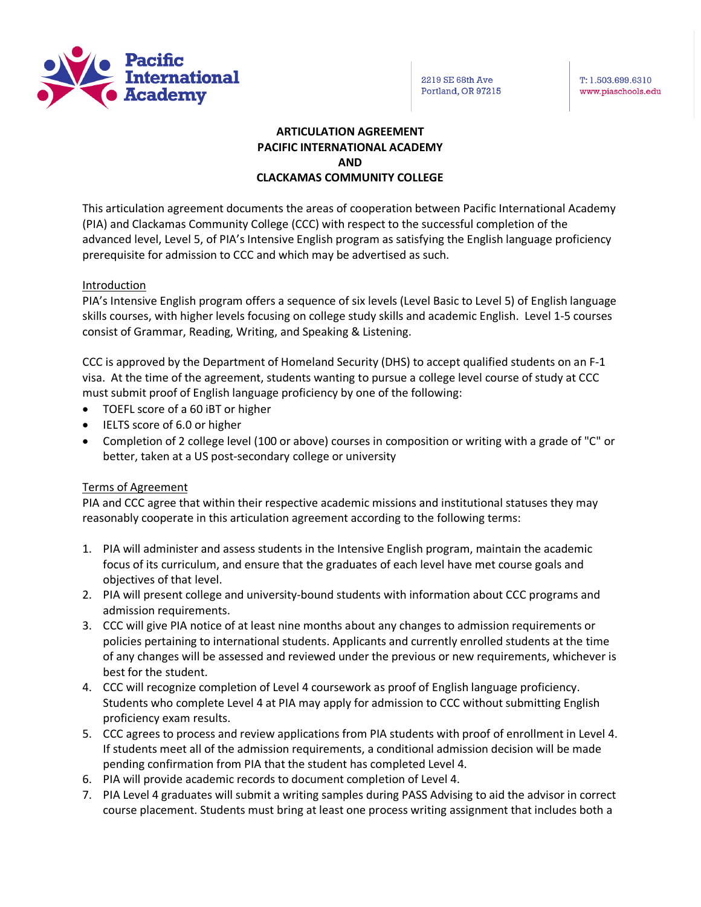

T: 1.503.699.6310 www.piaschools.edu

# **ARTICULATION AGREEMENT PACIFIC INTERNATIONAL ACADEMY AND CLACKAMAS COMMUNITY COLLEGE**

This articulation agreement documents the areas of cooperation between Pacific International Academy (PIA) and Clackamas Community College (CCC) with respect to the successful completion of the advanced level, Level 5, of PIA's Intensive English program as satisfying the English language proficiency prerequisite for admission to CCC and which may be advertised as such.

## Introduction

PIA's Intensive English program offers a sequence of six levels (Level Basic to Level 5) of English language skills courses, with higher levels focusing on college study skills and academic English. Level 1-5 courses consist of Grammar, Reading, Writing, and Speaking & Listening.

CCC is approved by the Department of Homeland Security (DHS) to accept qualified students on an F-1 visa. At the time of the agreement, students wanting to pursue a college level course of study at CCC must submit proof of English language proficiency by one of the following:

- TOEFL score of a 60 iBT or higher
- IELTS score of 6.0 or higher
- Completion of 2 college level (100 or above) courses in composition or writing with a grade of "C" or better, taken at a US post-secondary college or university

## Terms of Agreement

PIA and CCC agree that within their respective academic missions and institutional statuses they may reasonably cooperate in this articulation agreement according to the following terms:

- 1. PIA will administer and assess students in the Intensive English program, maintain the academic focus of its curriculum, and ensure that the graduates of each level have met course goals and objectives of that level.
- 2. PIA will present college and university-bound students with information about CCC programs and admission requirements.
- 3. CCC will give PIA notice of at least nine months about any changes to admission requirements or policies pertaining to international students. Applicants and currently enrolled students at the time of any changes will be assessed and reviewed under the previous or new requirements, whichever is best for the student.
- 4. CCC will recognize completion of Level 4 coursework as proof of English language proficiency. Students who complete Level 4 at PIA may apply for admission to CCC without submitting English proficiency exam results.
- 5. CCC agrees to process and review applications from PIA students with proof of enrollment in Level 4. If students meet all of the admission requirements, a conditional admission decision will be made pending confirmation from PIA that the student has completed Level 4.
- 6. PIA will provide academic records to document completion of Level 4.
- 7. PIA Level 4 graduates will submit a writing samples during PASS Advising to aid the advisor in correct course placement. Students must bring at least one process writing assignment that includes both a